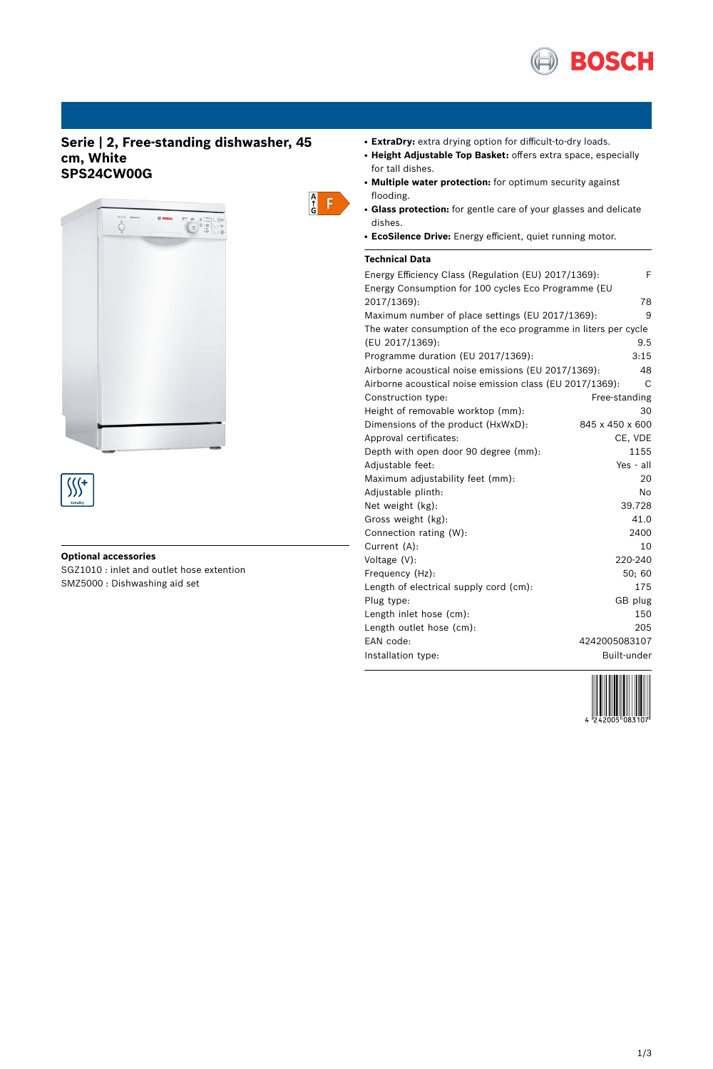

# **Serie | 2, Free-standing dishwasher, 45 cm, White SPS24CW00G**



### **Optional accessories**

SGZ1010 : inlet and outlet hose extention SMZ5000 : Dishwashing aid set

- **ExtraDry:** extra drying option for difficult-to-dry loads.
- **Height Adjustable Top Basket:** offers extra space, especially for tall dishes.
- **Multiple water protection:** for optimum security against flooding.
- **Glass protection:** for gentle care of your glasses and delicate dishes.
- **EcoSilence Drive:** Energy efficient, quiet running motor.

## **Technical Data**

 $\begin{array}{c} A \\ \uparrow \\ G \end{array}$ 

| Energy Efficiency Class (Regulation (EU) 2017/1369):           | F               |
|----------------------------------------------------------------|-----------------|
| Energy Consumption for 100 cycles Eco Programme (EU            |                 |
| 2017/1369):                                                    | 78              |
| Maximum number of place settings (EU 2017/1369):               | 9               |
| The water consumption of the eco programme in liters per cycle |                 |
| (EU 2017/1369):                                                | 9.5             |
| Programme duration (EU 2017/1369):                             | 3:15            |
| Airborne acoustical noise emissions (EU 2017/1369):            | 48              |
| Airborne acoustical noise emission class (EU 2017/1369):       | C               |
| Construction type:                                             | Free-standing   |
| Height of removable worktop (mm):                              | 30              |
| Dimensions of the product (HxWxD):                             | 845 x 450 x 600 |
| Approval certificates:                                         | CE, VDE         |
| Depth with open door 90 degree (mm):                           | 1155            |
| Adjustable feet:                                               | Yes - all       |
| Maximum adjustability feet (mm):                               | 20              |
| Adjustable plinth:                                             | No              |
| Net weight (kg):                                               | 39.728          |
| Gross weight (kg):                                             | 41.0            |
| Connection rating (W):                                         | 2400            |
| Current (A):                                                   | 10              |
| Voltage $(V)$ :                                                | 220-240         |
| Frequency (Hz):                                                | 50; 60          |
| Length of electrical supply cord (cm):                         | 175             |
| Plug type:                                                     | GB plug         |
| Length inlet hose (cm):                                        | 150             |
| Length outlet hose (cm):                                       | 205             |
| EAN code:                                                      | 4242005083107   |
| Installation type:                                             | Built-under     |

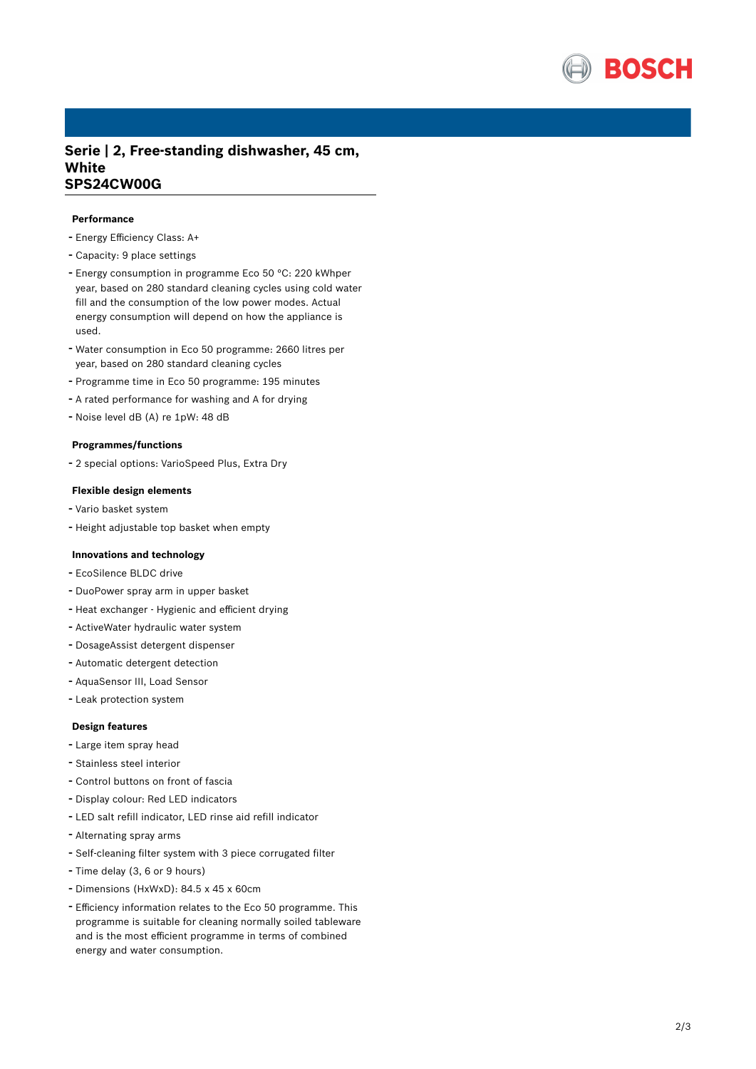

## **Serie | 2, Free-standing dishwasher, 45 cm, White SPS24CW00G**

### **Performance**

- Energy Efficiency Class: A+
- Capacity: <sup>9</sup> place settings
- Energy consumption in programme Eco <sup>50</sup> °C: <sup>220</sup> kWhper year, based on 280 standard cleaning cycles using cold water fill and the consumption of the low power modes. Actual energy consumption will depend on how the appliance is used.
- Water consumption in Eco <sup>50</sup> programme: <sup>2660</sup> litres per year, based on 280 standard cleaning cycles
- Programme time in Eco <sup>50</sup> programme: <sup>195</sup> minutes
- <sup>A</sup> rated performance for washing and <sup>A</sup> for drying
- Noise level dB (A) re 1pW: <sup>48</sup> dB

#### **Programmes/functions**

- <sup>2</sup> special options: VarioSpeed Plus, Extra Dry

### **Flexible design elements**

- Vario basket system
- Height adjustable top basket when empty

#### **Innovations and technology**

- EcoSilence BLDC drive
- DuoPower spray arm in upper basket
- Heat exchanger Hygienic and efficient drying
- ActiveWater hydraulic water system
- DosageAssist detergent dispenser
- Automatic detergent detection
- AquaSensor III, Load Sensor
- Leak protection system

#### **Design features**

- Large item spray head
- Stainless steel interior
- Control buttons on front of fascia
- Display colour: Red LED indicators
- LED salt refill indicator, LED rinse aid refill indicator
- Alternating spray arms
- Self-cleaning filter system with <sup>3</sup> piece corrugated filter
- Time delay (3, <sup>6</sup> or <sup>9</sup> hours)
- Dimensions (HxWxD): 84.5 x 45 x 60cm
- Efficiency information relates to the Eco <sup>50</sup> programme. This programme is suitable for cleaning normally soiled tableware and is the most efficient programme in terms of combined energy and water consumption.